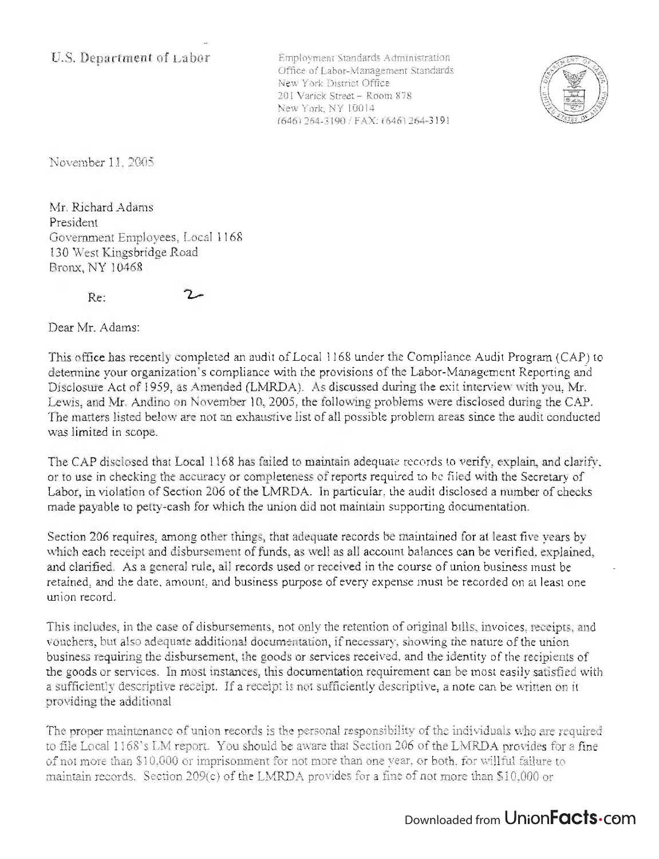Employment Standards Administration Office of Labor-Management Standards New York District Office 201 Varick Street - Room 878 New York, NY 10014 (646) 264-3190 / FAX: (646) 264-3191



November 11 , 2005

Mr. Richard Adams President Government Employees, Local 1168 130 West Kingsbridge Road Bronx, NY 10468

Re:

Dear Mr. Adams:

This office has recently completed an audit of Local 1168 under the Compliance Audit Program (CAP) to determine your organization's compliance with the provisions of the Labor-Management Reporting and Disclosure Act of 1959, as Amended (LMRDA). As discussed during the exit interview with you, Mr. Lewis, and Mr. Andino on November 10,2005, the following problems were disclosed during the CAP. The matters listed below are not an exhaustive list of all possible problem areas since the audit conducted was limited in scope.

The CAP disclosed that Local 1168 has failed to maintain adequate records to verify, explain, and clarify, or to use in checking the accuracy or completeness of reports required to be filed with the Secretary of Labor, in violation of Section 206 of the LMRDA. In particular, the audit disclosed a number of checks made payable to petty-cash for which the union did not maintain supporting documentation.

Section 206 requires, among other things, that adequate records be maintained for at least five years by which each receipt and disbursement of funds, as well as all account balances can be verified, explained, and clarified. As a general rule, all records used or received in the course of union business must be retained, and the date, amount, and business purpose of every expense must be recorded on at least one union record.

This includes, in the case of disbursements, not only the retention of original bills, invoices, receipts, and vouchers, but also adequate additional documentation, if necessary, showing the nature of the union business requiring the disbursement, the goods or services received, and the identity of the recipients of the goods or services. In most instances, this documentation requirement can be most easily satisfied with a sufficiently descriptive receipt. If a receipt is not sufficiently descriptive, a note can be written on it providing the additional

The proper maintenance of union records is the personal responsibility of the individuals who are required to file Local 1168's LM report. You should be aware that Section 206 of the LMRDA provides for a fme of not more than \$10,000 or imprisonment for not more than one year. or both, for willful failure to maintain records. Section 209(c) of the LMRDA provides for a fine of not more than \$10,000 or

## Downloaded from UnionFacts.com